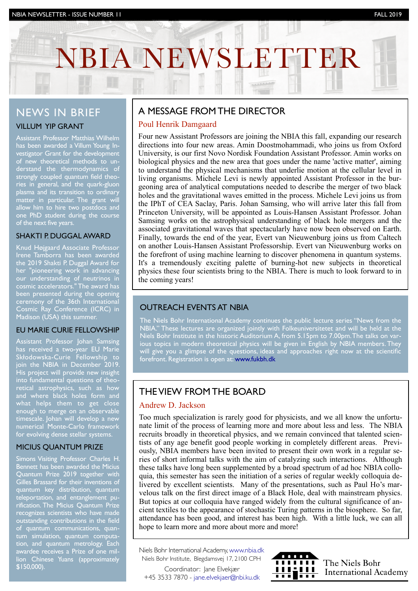# NBIA NEWSLETTER

## NEWS IN BRIEF

#### VILLUM YIP GRANT

Assistant Professor Matthias Wilhelm has been awarded a Villum Young Investigator Grant for the development of new theoretical methods to understand the thermodynamics of strongly coupled quantum field theories in general, and the quark-gluon plasma and its transition to ordinary matter in particular. The grant will allow him to hire two postdocs and one PhD student during the course of the next five years.

#### SHAKTI P. DUGGAL AWARD

Knud Højgaard Associate Professor Irene Tamborra has been awarded the 2019 Shakti P. Duggal Award for her "pioneering work in advancing our understanding of neutrinos in cosmic accelerators." The award has been presented during the opening ceremony of the 36th International Cosmic Ray Conference (ICRC) in Madison (USA) this summer.

#### EU MARIE CURIE FELLOWSHIP

Assistant Professor Johan Samsing has received a two-year EU Marie Skłodowska-Curie Fellowship to join the NBIA in December 2019. His project will provide new insight into fundamental questions of theoretical astrophysics, such as how and where black holes form and what helps them to get close enough to merge on an observable timescale. Johan will develop a new numerical Monte-Carlo framework for evolving dense stellar systems.

#### MICIUS QUANTUM PRIZE

Simons Visiting Professor Charles H. Bennett has been awarded the Micius Quantum Prize 2019 together with Gilles Brassard for their inventions of quantum key distribution, quantum teleportation, and entanglement purification. The Micius Quantum Prize recognizes scientists who have made outstanding contributions in the field of quantum communications, quantum simulation, quantum computation, and quantum metrology. Each awardee receives a Prize of one million Chinese Yuans (approximately \$150,000).

## A MESSAGE FROM THE DIRECTOR

#### Poul Henrik Damgaard

INVESTOR NEWSLETTER IS NEWSLET AND A NEWSLETTER ISSUE NEWSLETTER IS NEWSLET AND A NEWSLETTER IS NOT A NEW YORK

Four new Assistant Professors are joining the NBIA this fall, expanding our research directions into four new areas. Amin Doostmohammadi, who joins us from Oxford University, is our first Novo Nordisk Foundation Assistant Professor. Amin works on biological physics and the new area that goes under the name 'active matter', aiming to understand the physical mechanisms that underlie motion at the cellular level in living organisms. Michele Levi is newly appointed Assistant Professor in the burgeoning area of analytical computations needed to describe the merger of two black holes and the gravitational waves emitted in the process. Michele Levi joins us from the IPhT of CEA Saclay, Paris. Johan Samsing, who will arrive later this fall from Princeton University, will be appointed as Louis-Hansen Assistant Professor. Johan Samsing works on the astrophysical understanding of black hole mergers and the associated gravitational waves that spectacularly have now been observed on Earth. Finally, towards the end of the year, Evert van Nieuwenburg joins us from Caltech on another Louis-Hansen Assistant Professorship. Evert van Nieuwenburg works on the forefront of using machine learning to discover phenomena in quantum systems. It's a tremendously exciting palette of burning-hot new subjects in theoretical physics these four scientists bring to the NBIA. There is much to look forward to in the coming years!

#### OUTREACH EVENTS AT NBIA

The Niels Bohr International Academy continues the public lecture series "News from the NBIA." These lectures are organized jointly with Folkeuniversitetet and will be held at the Niels Bohr Institute in the historic Auditorium A, from 5.15pm to 7.00pm. The talks on various topics in modern theoretical physics will be given in English by NBIA members. They will give you a glimpse of the questions, ideas and approaches right now at the scientific forefront. Registration is open at: [www.fukbh.dk](http://www.fukbh.dk)

# THE VIEW FROM THE BOARD

#### Andrew D. Jackson

Too much specialization is rarely good for physicists, and we all know the unfortunate limit of the process of learning more and more about less and less. The NBIA recruits broadly in theoretical physics, and we remain convinced that talented scientists of any age benefit good people working in completely different areas. Previously, NBIA members have been invited to present their own work in a regular series of short informal talks with the aim of catalyzing such interactions. Although these talks have long been supplemented by a broad spectrum of ad hoc NBIA colloquia, this semester has seen the initiation of a series of regular weekly colloquia delivered by excellent scientists. Many of the presentations, such as Paul Ho's marvelous talk on the first direct image of a Black Hole, deal with mainstream physics. But topics at our colloquia have ranged widely from the cultural significance of ancient textiles to the appearance of stochastic Turing patterns in the biosphere. So far, attendance has been good, and interest has been high. With a little luck, we can all hope to learn more and more about more and more!

Niels Bohr International Academy, [www.nbia.dk](http://www.nbia.dk) Niels Bohr Institute, Blegdamsvej 17, 2100 CPH

Coordinator: Jane Elvekjær +45 3533 7870 - [jane.elvekjaer@nbi.ku.dk](mailto:jane.elvekjaer@nbi.ku.dk)



The Niels Bohr **THE NEWS BOIL**<br>**THE THE International Academy**